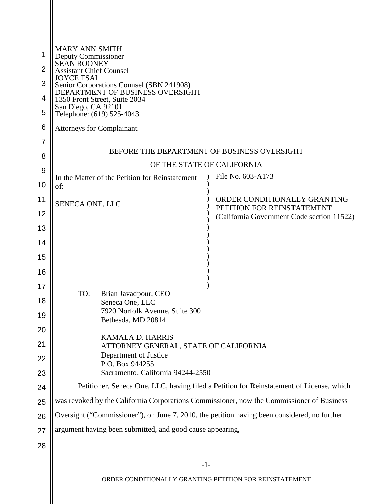|                | <b>MARY ANN SMITH</b><br>Deputy Commissioner                                                                                       |                                                                          |  |
|----------------|------------------------------------------------------------------------------------------------------------------------------------|--------------------------------------------------------------------------|--|
| $\overline{2}$ | SEAN ROONEY<br><b>Assistant Chief Counsel</b>                                                                                      |                                                                          |  |
| 3              | <b>JOYCE TSAI</b><br>Senior Corporations Counsel (SBN 241908)<br>DEPARTMENT OF BUSINESS OVERSIGHT<br>1350 Front Street, Suite 2034 |                                                                          |  |
| 4              |                                                                                                                                    |                                                                          |  |
| 5              | San Diego, CA 92101<br>Telephone: (619) 525-4043                                                                                   |                                                                          |  |
| 6              | <b>Attorneys for Complainant</b>                                                                                                   |                                                                          |  |
| 7              |                                                                                                                                    |                                                                          |  |
| 8              | BEFORE THE DEPARTMENT OF BUSINESS OVERSIGHT                                                                                        |                                                                          |  |
| 9              | OF THE STATE OF CALIFORNIA<br>File No. 603-A173                                                                                    |                                                                          |  |
| 10             | In the Matter of the Petition for Reinstatement<br>of:                                                                             |                                                                          |  |
| 11             | SENECA ONE, LLC                                                                                                                    | ORDER CONDITIONALLY GRANTING                                             |  |
| 12             |                                                                                                                                    | PETITION FOR REINSTATEMENT<br>(California Government Code section 11522) |  |
| 13             |                                                                                                                                    |                                                                          |  |
| 14             |                                                                                                                                    |                                                                          |  |
| 15             |                                                                                                                                    |                                                                          |  |
| 16             |                                                                                                                                    |                                                                          |  |
| 17             | TO:<br>Brian Javadpour, CEO                                                                                                        |                                                                          |  |
| 18             | Seneca One, LLC                                                                                                                    |                                                                          |  |
| 19             | 7920 Norfolk Avenue, Suite 300<br>Bethesda, MD 20814                                                                               |                                                                          |  |
| 20             |                                                                                                                                    |                                                                          |  |
| 21             | KAMALA D. HARRIS<br>ATTORNEY GENERAL, STATE OF CALIFORNIA                                                                          |                                                                          |  |
| 22             | Department of Justice<br>P.O. Box 944255                                                                                           |                                                                          |  |
| 23             | Sacramento, California 94244-2550                                                                                                  |                                                                          |  |
| 24             | Petitioner, Seneca One, LLC, having filed a Petition for Reinstatement of License, which                                           |                                                                          |  |
| 25             | was revoked by the California Corporations Commissioner, now the Commissioner of Business                                          |                                                                          |  |
| 26             | Oversight ("Commissioner"), on June 7, 2010, the petition having been considered, no further                                       |                                                                          |  |
| 27             | argument having been submitted, and good cause appearing,                                                                          |                                                                          |  |
| 28             |                                                                                                                                    |                                                                          |  |
|                | $-1-$                                                                                                                              |                                                                          |  |
|                | ORDER CONDITIONALLY GRANTING PETITION FOR REINSTATEMENT                                                                            |                                                                          |  |
|                |                                                                                                                                    |                                                                          |  |
|                |                                                                                                                                    |                                                                          |  |